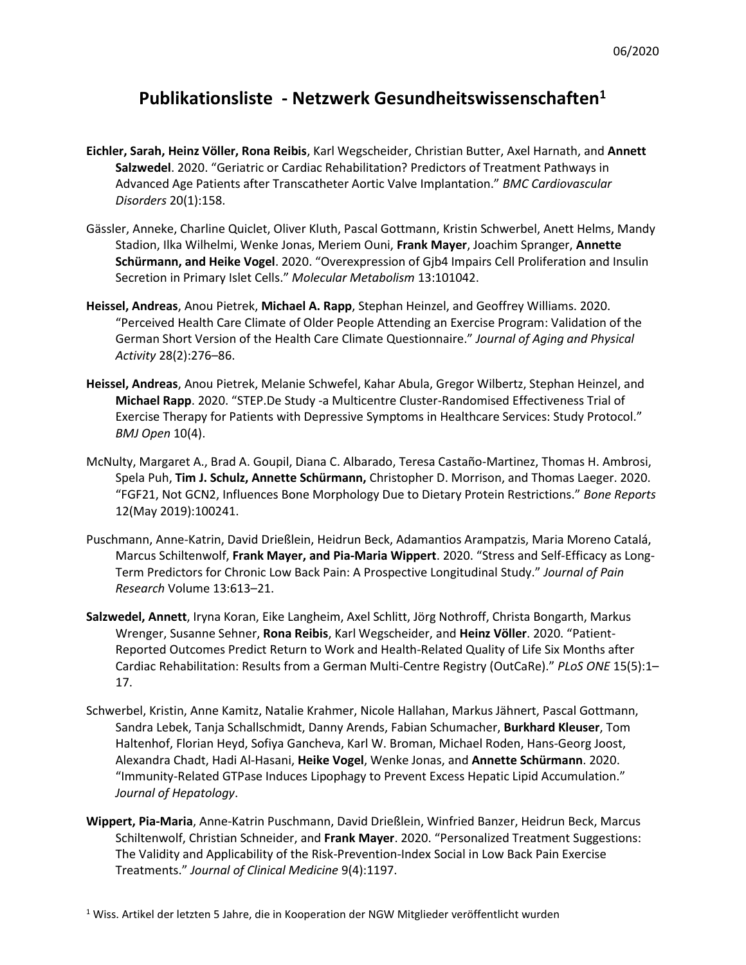## **Publikationsliste - Netzwerk Gesundheitswissenschaften<sup>1</sup>**

- **Eichler, Sarah, Heinz Völler, Rona Reibis**, Karl Wegscheider, Christian Butter, Axel Harnath, and **Annett Salzwedel**. 2020. "Geriatric or Cardiac Rehabilitation? Predictors of Treatment Pathways in Advanced Age Patients after Transcatheter Aortic Valve Implantation." *BMC Cardiovascular Disorders* 20(1):158.
- Gässler, Anneke, Charline Quiclet, Oliver Kluth, Pascal Gottmann, Kristin Schwerbel, Anett Helms, Mandy Stadion, Ilka Wilhelmi, Wenke Jonas, Meriem Ouni, **Frank Mayer**, Joachim Spranger, **Annette Schürmann, and Heike Vogel**. 2020. "Overexpression of Gjb4 Impairs Cell Proliferation and Insulin Secretion in Primary Islet Cells." *Molecular Metabolism* 13:101042.
- **Heissel, Andreas**, Anou Pietrek, **Michael A. Rapp**, Stephan Heinzel, and Geoffrey Williams. 2020. "Perceived Health Care Climate of Older People Attending an Exercise Program: Validation of the German Short Version of the Health Care Climate Questionnaire." *Journal of Aging and Physical Activity* 28(2):276–86.
- **Heissel, Andreas**, Anou Pietrek, Melanie Schwefel, Kahar Abula, Gregor Wilbertz, Stephan Heinzel, and **Michael Rapp**. 2020. "STEP.De Study -a Multicentre Cluster-Randomised Effectiveness Trial of Exercise Therapy for Patients with Depressive Symptoms in Healthcare Services: Study Protocol." *BMJ Open* 10(4).
- McNulty, Margaret A., Brad A. Goupil, Diana C. Albarado, Teresa Castaño-Martinez, Thomas H. Ambrosi, Spela Puh, **Tim J. Schulz, Annette Schürmann,** Christopher D. Morrison, and Thomas Laeger. 2020. "FGF21, Not GCN2, Influences Bone Morphology Due to Dietary Protein Restrictions." *Bone Reports* 12(May 2019):100241.
- Puschmann, Anne-Katrin, David Drießlein, Heidrun Beck, Adamantios Arampatzis, Maria Moreno Catalá, Marcus Schiltenwolf, **Frank Mayer, and Pia-Maria Wippert**. 2020. "Stress and Self-Efficacy as Long-Term Predictors for Chronic Low Back Pain: A Prospective Longitudinal Study." *Journal of Pain Research* Volume 13:613–21.
- **Salzwedel, Annett**, Iryna Koran, Eike Langheim, Axel Schlitt, Jörg Nothroff, Christa Bongarth, Markus Wrenger, Susanne Sehner, **Rona Reibis**, Karl Wegscheider, and **Heinz Völler**. 2020. "Patient-Reported Outcomes Predict Return to Work and Health-Related Quality of Life Six Months after Cardiac Rehabilitation: Results from a German Multi-Centre Registry (OutCaRe)." *PLoS ONE* 15(5):1– 17.
- Schwerbel, Kristin, Anne Kamitz, Natalie Krahmer, Nicole Hallahan, Markus Jähnert, Pascal Gottmann, Sandra Lebek, Tanja Schallschmidt, Danny Arends, Fabian Schumacher, **Burkhard Kleuser**, Tom Haltenhof, Florian Heyd, Sofiya Gancheva, Karl W. Broman, Michael Roden, Hans-Georg Joost, Alexandra Chadt, Hadi Al-Hasani, **Heike Vogel**, Wenke Jonas, and **Annette Schürmann**. 2020. "Immunity-Related GTPase Induces Lipophagy to Prevent Excess Hepatic Lipid Accumulation." *Journal of Hepatology*.
- **Wippert, Pia-Maria**, Anne-Katrin Puschmann, David Drießlein, Winfried Banzer, Heidrun Beck, Marcus Schiltenwolf, Christian Schneider, and **Frank Mayer**. 2020. "Personalized Treatment Suggestions: The Validity and Applicability of the Risk-Prevention-Index Social in Low Back Pain Exercise Treatments." *Journal of Clinical Medicine* 9(4):1197.

<sup>1</sup> Wiss. Artikel der letzten 5 Jahre, die in Kooperation der NGW Mitglieder veröffentlicht wurden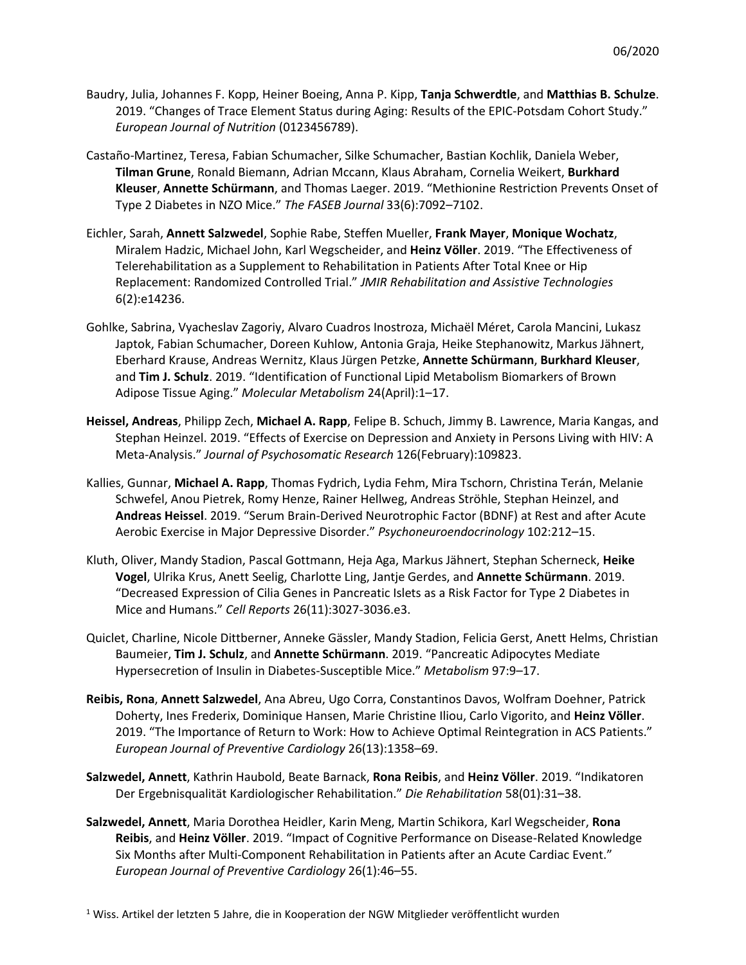- Baudry, Julia, Johannes F. Kopp, Heiner Boeing, Anna P. Kipp, **Tanja Schwerdtle**, and **Matthias B. Schulze**. 2019. "Changes of Trace Element Status during Aging: Results of the EPIC-Potsdam Cohort Study." *European Journal of Nutrition* (0123456789).
- Castaño-Martinez, Teresa, Fabian Schumacher, Silke Schumacher, Bastian Kochlik, Daniela Weber, **Tilman Grune**, Ronald Biemann, Adrian Mccann, Klaus Abraham, Cornelia Weikert, **Burkhard Kleuser**, **Annette Schürmann**, and Thomas Laeger. 2019. "Methionine Restriction Prevents Onset of Type 2 Diabetes in NZO Mice." *The FASEB Journal* 33(6):7092–7102.
- Eichler, Sarah, **Annett Salzwedel**, Sophie Rabe, Steffen Mueller, **Frank Mayer**, **Monique Wochatz**, Miralem Hadzic, Michael John, Karl Wegscheider, and **Heinz Völler**. 2019. "The Effectiveness of Telerehabilitation as a Supplement to Rehabilitation in Patients After Total Knee or Hip Replacement: Randomized Controlled Trial." *JMIR Rehabilitation and Assistive Technologies* 6(2):e14236.
- Gohlke, Sabrina, Vyacheslav Zagoriy, Alvaro Cuadros Inostroza, Michaël Méret, Carola Mancini, Lukasz Japtok, Fabian Schumacher, Doreen Kuhlow, Antonia Graja, Heike Stephanowitz, Markus Jähnert, Eberhard Krause, Andreas Wernitz, Klaus Jürgen Petzke, **Annette Schürmann**, **Burkhard Kleuser**, and **Tim J. Schulz**. 2019. "Identification of Functional Lipid Metabolism Biomarkers of Brown Adipose Tissue Aging." *Molecular Metabolism* 24(April):1–17.
- **Heissel, Andreas**, Philipp Zech, **Michael A. Rapp**, Felipe B. Schuch, Jimmy B. Lawrence, Maria Kangas, and Stephan Heinzel. 2019. "Effects of Exercise on Depression and Anxiety in Persons Living with HIV: A Meta-Analysis." *Journal of Psychosomatic Research* 126(February):109823.
- Kallies, Gunnar, **Michael A. Rapp**, Thomas Fydrich, Lydia Fehm, Mira Tschorn, Christina Terán, Melanie Schwefel, Anou Pietrek, Romy Henze, Rainer Hellweg, Andreas Ströhle, Stephan Heinzel, and **Andreas Heissel**. 2019. "Serum Brain-Derived Neurotrophic Factor (BDNF) at Rest and after Acute Aerobic Exercise in Major Depressive Disorder." *Psychoneuroendocrinology* 102:212–15.
- Kluth, Oliver, Mandy Stadion, Pascal Gottmann, Heja Aga, Markus Jähnert, Stephan Scherneck, **Heike Vogel**, Ulrika Krus, Anett Seelig, Charlotte Ling, Jantje Gerdes, and **Annette Schürmann**. 2019. "Decreased Expression of Cilia Genes in Pancreatic Islets as a Risk Factor for Type 2 Diabetes in Mice and Humans." *Cell Reports* 26(11):3027-3036.e3.
- Quiclet, Charline, Nicole Dittberner, Anneke Gässler, Mandy Stadion, Felicia Gerst, Anett Helms, Christian Baumeier, **Tim J. Schulz**, and **Annette Schürmann**. 2019. "Pancreatic Adipocytes Mediate Hypersecretion of Insulin in Diabetes-Susceptible Mice." *Metabolism* 97:9–17.
- **Reibis, Rona**, **Annett Salzwedel**, Ana Abreu, Ugo Corra, Constantinos Davos, Wolfram Doehner, Patrick Doherty, Ines Frederix, Dominique Hansen, Marie Christine Iliou, Carlo Vigorito, and **Heinz Völler**. 2019. "The Importance of Return to Work: How to Achieve Optimal Reintegration in ACS Patients." *European Journal of Preventive Cardiology* 26(13):1358–69.
- **Salzwedel, Annett**, Kathrin Haubold, Beate Barnack, **Rona Reibis**, and **Heinz Völler**. 2019. "Indikatoren Der Ergebnisqualität Kardiologischer Rehabilitation." *Die Rehabilitation* 58(01):31–38.
- **Salzwedel, Annett**, Maria Dorothea Heidler, Karin Meng, Martin Schikora, Karl Wegscheider, **Rona Reibis**, and **Heinz Völler**. 2019. "Impact of Cognitive Performance on Disease-Related Knowledge Six Months after Multi-Component Rehabilitation in Patients after an Acute Cardiac Event." *European Journal of Preventive Cardiology* 26(1):46–55.

<sup>1</sup> Wiss. Artikel der letzten 5 Jahre, die in Kooperation der NGW Mitglieder veröffentlicht wurden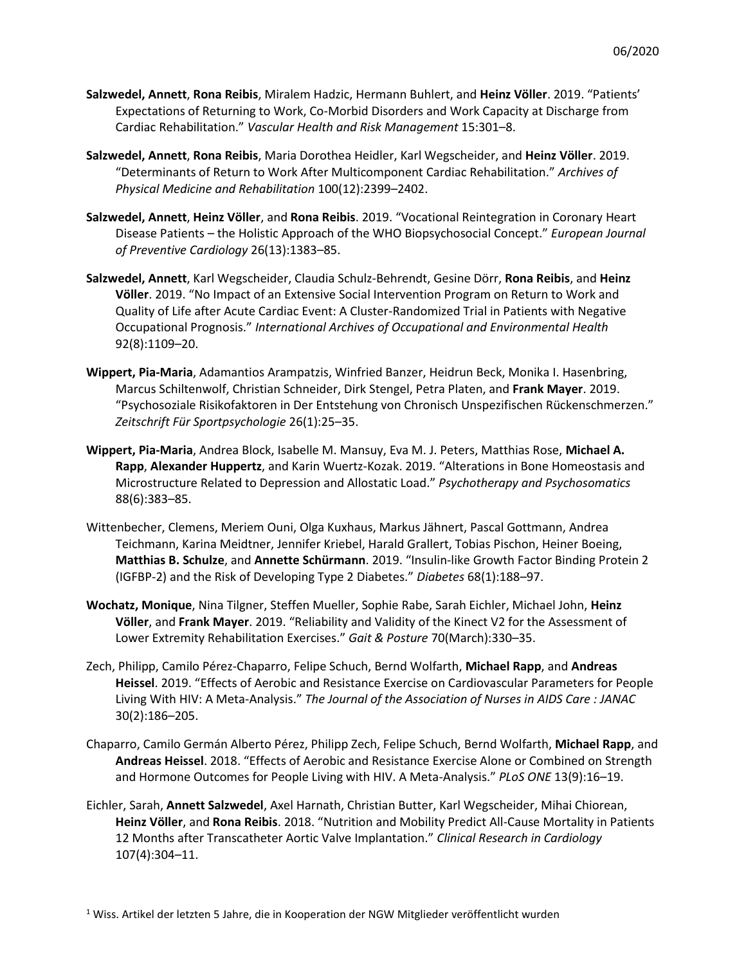- **Salzwedel, Annett**, **Rona Reibis**, Miralem Hadzic, Hermann Buhlert, and **Heinz Völler**. 2019. "Patients' Expectations of Returning to Work, Co-Morbid Disorders and Work Capacity at Discharge from Cardiac Rehabilitation." *Vascular Health and Risk Management* 15:301–8.
- **Salzwedel, Annett**, **Rona Reibis**, Maria Dorothea Heidler, Karl Wegscheider, and **Heinz Völler**. 2019. "Determinants of Return to Work After Multicomponent Cardiac Rehabilitation." *Archives of Physical Medicine and Rehabilitation* 100(12):2399–2402.
- **Salzwedel, Annett**, **Heinz Völler**, and **Rona Reibis**. 2019. "Vocational Reintegration in Coronary Heart Disease Patients – the Holistic Approach of the WHO Biopsychosocial Concept." *European Journal of Preventive Cardiology* 26(13):1383–85.
- **Salzwedel, Annett**, Karl Wegscheider, Claudia Schulz-Behrendt, Gesine Dörr, **Rona Reibis**, and **Heinz Völler**. 2019. "No Impact of an Extensive Social Intervention Program on Return to Work and Quality of Life after Acute Cardiac Event: A Cluster-Randomized Trial in Patients with Negative Occupational Prognosis." *International Archives of Occupational and Environmental Health* 92(8):1109–20.
- **Wippert, Pia-Maria**, Adamantios Arampatzis, Winfried Banzer, Heidrun Beck, Monika I. Hasenbring, Marcus Schiltenwolf, Christian Schneider, Dirk Stengel, Petra Platen, and **Frank Mayer**. 2019. "Psychosoziale Risikofaktoren in Der Entstehung von Chronisch Unspezifischen Rückenschmerzen." *Zeitschrift Für Sportpsychologie* 26(1):25–35.
- **Wippert, Pia-Maria**, Andrea Block, Isabelle M. Mansuy, Eva M. J. Peters, Matthias Rose, **Michael A. Rapp**, **Alexander Huppertz**, and Karin Wuertz-Kozak. 2019. "Alterations in Bone Homeostasis and Microstructure Related to Depression and Allostatic Load." *Psychotherapy and Psychosomatics* 88(6):383–85.
- Wittenbecher, Clemens, Meriem Ouni, Olga Kuxhaus, Markus Jähnert, Pascal Gottmann, Andrea Teichmann, Karina Meidtner, Jennifer Kriebel, Harald Grallert, Tobias Pischon, Heiner Boeing, **Matthias B. Schulze**, and **Annette Schürmann**. 2019. "Insulin-like Growth Factor Binding Protein 2 (IGFBP-2) and the Risk of Developing Type 2 Diabetes." *Diabetes* 68(1):188–97.
- **Wochatz, Monique**, Nina Tilgner, Steffen Mueller, Sophie Rabe, Sarah Eichler, Michael John, **Heinz Völler**, and **Frank Mayer**. 2019. "Reliability and Validity of the Kinect V2 for the Assessment of Lower Extremity Rehabilitation Exercises." *Gait & Posture* 70(March):330–35.
- Zech, Philipp, Camilo Pérez-Chaparro, Felipe Schuch, Bernd Wolfarth, **Michael Rapp**, and **Andreas Heissel**. 2019. "Effects of Aerobic and Resistance Exercise on Cardiovascular Parameters for People Living With HIV: A Meta-Analysis." *The Journal of the Association of Nurses in AIDS Care : JANAC* 30(2):186–205.
- Chaparro, Camilo Germán Alberto Pérez, Philipp Zech, Felipe Schuch, Bernd Wolfarth, **Michael Rapp**, and **Andreas Heissel**. 2018. "Effects of Aerobic and Resistance Exercise Alone or Combined on Strength and Hormone Outcomes for People Living with HIV. A Meta-Analysis." *PLoS ONE* 13(9):16–19.
- Eichler, Sarah, **Annett Salzwedel**, Axel Harnath, Christian Butter, Karl Wegscheider, Mihai Chiorean, **Heinz Völler**, and **Rona Reibis**. 2018. "Nutrition and Mobility Predict All-Cause Mortality in Patients 12 Months after Transcatheter Aortic Valve Implantation." *Clinical Research in Cardiology* 107(4):304–11.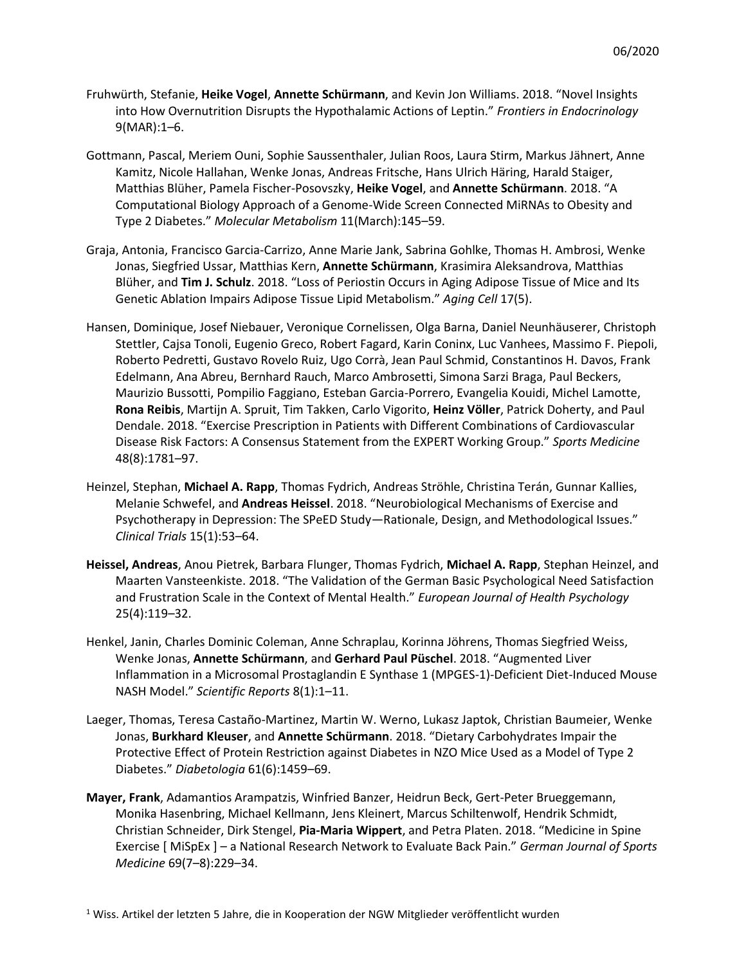- Fruhwürth, Stefanie, **Heike Vogel**, **Annette Schürmann**, and Kevin Jon Williams. 2018. "Novel Insights into How Overnutrition Disrupts the Hypothalamic Actions of Leptin." *Frontiers in Endocrinology* 9(MAR):1–6.
- Gottmann, Pascal, Meriem Ouni, Sophie Saussenthaler, Julian Roos, Laura Stirm, Markus Jähnert, Anne Kamitz, Nicole Hallahan, Wenke Jonas, Andreas Fritsche, Hans Ulrich Häring, Harald Staiger, Matthias Blüher, Pamela Fischer-Posovszky, **Heike Vogel**, and **Annette Schürmann**. 2018. "A Computational Biology Approach of a Genome-Wide Screen Connected MiRNAs to Obesity and Type 2 Diabetes." *Molecular Metabolism* 11(March):145–59.
- Graja, Antonia, Francisco Garcia-Carrizo, Anne Marie Jank, Sabrina Gohlke, Thomas H. Ambrosi, Wenke Jonas, Siegfried Ussar, Matthias Kern, **Annette Schürmann**, Krasimira Aleksandrova, Matthias Blüher, and **Tim J. Schulz**. 2018. "Loss of Periostin Occurs in Aging Adipose Tissue of Mice and Its Genetic Ablation Impairs Adipose Tissue Lipid Metabolism." *Aging Cell* 17(5).
- Hansen, Dominique, Josef Niebauer, Veronique Cornelissen, Olga Barna, Daniel Neunhäuserer, Christoph Stettler, Cajsa Tonoli, Eugenio Greco, Robert Fagard, Karin Coninx, Luc Vanhees, Massimo F. Piepoli, Roberto Pedretti, Gustavo Rovelo Ruiz, Ugo Corrà, Jean Paul Schmid, Constantinos H. Davos, Frank Edelmann, Ana Abreu, Bernhard Rauch, Marco Ambrosetti, Simona Sarzi Braga, Paul Beckers, Maurizio Bussotti, Pompilio Faggiano, Esteban Garcia-Porrero, Evangelia Kouidi, Michel Lamotte, **Rona Reibis**, Martijn A. Spruit, Tim Takken, Carlo Vigorito, **Heinz Völler**, Patrick Doherty, and Paul Dendale. 2018. "Exercise Prescription in Patients with Different Combinations of Cardiovascular Disease Risk Factors: A Consensus Statement from the EXPERT Working Group." *Sports Medicine* 48(8):1781–97.
- Heinzel, Stephan, **Michael A. Rapp**, Thomas Fydrich, Andreas Ströhle, Christina Terán, Gunnar Kallies, Melanie Schwefel, and **Andreas Heissel**. 2018. "Neurobiological Mechanisms of Exercise and Psychotherapy in Depression: The SPeED Study—Rationale, Design, and Methodological Issues." *Clinical Trials* 15(1):53–64.
- **Heissel, Andreas**, Anou Pietrek, Barbara Flunger, Thomas Fydrich, **Michael A. Rapp**, Stephan Heinzel, and Maarten Vansteenkiste. 2018. "The Validation of the German Basic Psychological Need Satisfaction and Frustration Scale in the Context of Mental Health." *European Journal of Health Psychology* 25(4):119–32.
- Henkel, Janin, Charles Dominic Coleman, Anne Schraplau, Korinna Jöhrens, Thomas Siegfried Weiss, Wenke Jonas, **Annette Schürmann**, and **Gerhard Paul Püschel**. 2018. "Augmented Liver Inflammation in a Microsomal Prostaglandin E Synthase 1 (MPGES-1)-Deficient Diet-Induced Mouse NASH Model." *Scientific Reports* 8(1):1–11.
- Laeger, Thomas, Teresa Castaño-Martinez, Martin W. Werno, Lukasz Japtok, Christian Baumeier, Wenke Jonas, **Burkhard Kleuser**, and **Annette Schürmann**. 2018. "Dietary Carbohydrates Impair the Protective Effect of Protein Restriction against Diabetes in NZO Mice Used as a Model of Type 2 Diabetes." *Diabetologia* 61(6):1459–69.
- **Mayer, Frank**, Adamantios Arampatzis, Winfried Banzer, Heidrun Beck, Gert-Peter Brueggemann, Monika Hasenbring, Michael Kellmann, Jens Kleinert, Marcus Schiltenwolf, Hendrik Schmidt, Christian Schneider, Dirk Stengel, **Pia-Maria Wippert**, and Petra Platen. 2018. "Medicine in Spine Exercise [ MiSpEx ] – a National Research Network to Evaluate Back Pain." *German Journal of Sports Medicine* 69(7–8):229–34.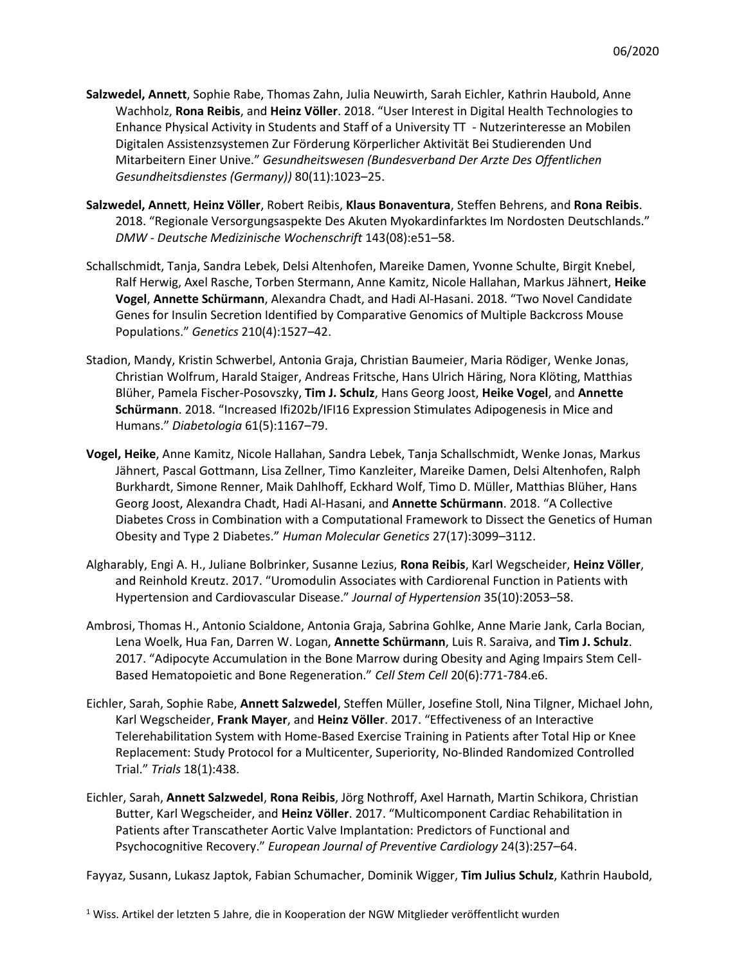- **Salzwedel, Annett**, Sophie Rabe, Thomas Zahn, Julia Neuwirth, Sarah Eichler, Kathrin Haubold, Anne Wachholz, **Rona Reibis**, and **Heinz Völler**. 2018. "User Interest in Digital Health Technologies to Enhance Physical Activity in Students and Staff of a University TT - Nutzerinteresse an Mobilen Digitalen Assistenzsystemen Zur Förderung Körperlicher Aktivität Bei Studierenden Und Mitarbeitern Einer Unive." *Gesundheitswesen (Bundesverband Der Arzte Des Offentlichen Gesundheitsdienstes (Germany))* 80(11):1023–25.
- **Salzwedel, Annett**, **Heinz Völler**, Robert Reibis, **Klaus Bonaventura**, Steffen Behrens, and **Rona Reibis**. 2018. "Regionale Versorgungsaspekte Des Akuten Myokardinfarktes Im Nordosten Deutschlands." *DMW - Deutsche Medizinische Wochenschrift* 143(08):e51–58.
- Schallschmidt, Tanja, Sandra Lebek, Delsi Altenhofen, Mareike Damen, Yvonne Schulte, Birgit Knebel, Ralf Herwig, Axel Rasche, Torben Stermann, Anne Kamitz, Nicole Hallahan, Markus Jähnert, **Heike Vogel**, **Annette Schürmann**, Alexandra Chadt, and Hadi Al-Hasani. 2018. "Two Novel Candidate Genes for Insulin Secretion Identified by Comparative Genomics of Multiple Backcross Mouse Populations." *Genetics* 210(4):1527–42.
- Stadion, Mandy, Kristin Schwerbel, Antonia Graja, Christian Baumeier, Maria Rödiger, Wenke Jonas, Christian Wolfrum, Harald Staiger, Andreas Fritsche, Hans Ulrich Häring, Nora Klöting, Matthias Blüher, Pamela Fischer-Posovszky, **Tim J. Schulz**, Hans Georg Joost, **Heike Vogel**, and **Annette Schürmann**. 2018. "Increased Ifi202b/IFI16 Expression Stimulates Adipogenesis in Mice and Humans." *Diabetologia* 61(5):1167–79.
- **Vogel, Heike**, Anne Kamitz, Nicole Hallahan, Sandra Lebek, Tanja Schallschmidt, Wenke Jonas, Markus Jähnert, Pascal Gottmann, Lisa Zellner, Timo Kanzleiter, Mareike Damen, Delsi Altenhofen, Ralph Burkhardt, Simone Renner, Maik Dahlhoff, Eckhard Wolf, Timo D. Müller, Matthias Blüher, Hans Georg Joost, Alexandra Chadt, Hadi Al-Hasani, and **Annette Schürmann**. 2018. "A Collective Diabetes Cross in Combination with a Computational Framework to Dissect the Genetics of Human Obesity and Type 2 Diabetes." *Human Molecular Genetics* 27(17):3099–3112.
- Algharably, Engi A. H., Juliane Bolbrinker, Susanne Lezius, **Rona Reibis**, Karl Wegscheider, **Heinz Völler**, and Reinhold Kreutz. 2017. "Uromodulin Associates with Cardiorenal Function in Patients with Hypertension and Cardiovascular Disease." *Journal of Hypertension* 35(10):2053–58.
- Ambrosi, Thomas H., Antonio Scialdone, Antonia Graja, Sabrina Gohlke, Anne Marie Jank, Carla Bocian, Lena Woelk, Hua Fan, Darren W. Logan, **Annette Schürmann**, Luis R. Saraiva, and **Tim J. Schulz**. 2017. "Adipocyte Accumulation in the Bone Marrow during Obesity and Aging Impairs Stem Cell-Based Hematopoietic and Bone Regeneration." *Cell Stem Cell* 20(6):771-784.e6.
- Eichler, Sarah, Sophie Rabe, **Annett Salzwedel**, Steffen Müller, Josefine Stoll, Nina Tilgner, Michael John, Karl Wegscheider, **Frank Mayer**, and **Heinz Völler**. 2017. "Effectiveness of an Interactive Telerehabilitation System with Home-Based Exercise Training in Patients after Total Hip or Knee Replacement: Study Protocol for a Multicenter, Superiority, No-Blinded Randomized Controlled Trial." *Trials* 18(1):438.
- Eichler, Sarah, **Annett Salzwedel**, **Rona Reibis**, Jörg Nothroff, Axel Harnath, Martin Schikora, Christian Butter, Karl Wegscheider, and **Heinz Völler**. 2017. "Multicomponent Cardiac Rehabilitation in Patients after Transcatheter Aortic Valve Implantation: Predictors of Functional and Psychocognitive Recovery." *European Journal of Preventive Cardiology* 24(3):257–64.

Fayyaz, Susann, Lukasz Japtok, Fabian Schumacher, Dominik Wigger, **Tim Julius Schulz**, Kathrin Haubold,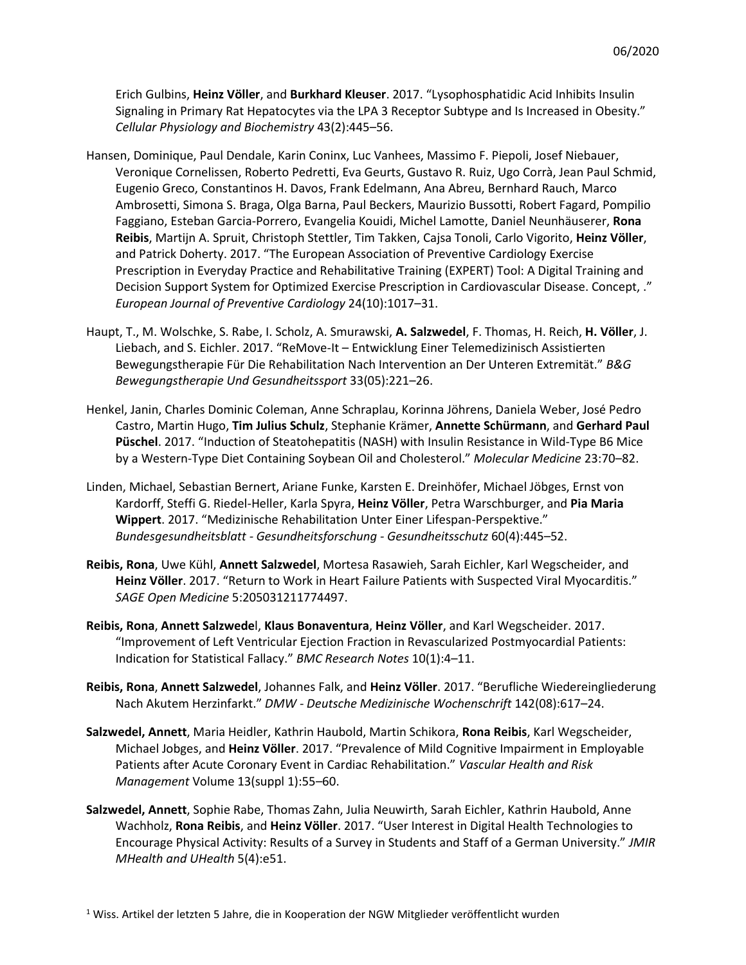Erich Gulbins, **Heinz Völler**, and **Burkhard Kleuser**. 2017. "Lysophosphatidic Acid Inhibits Insulin Signaling in Primary Rat Hepatocytes via the LPA 3 Receptor Subtype and Is Increased in Obesity." *Cellular Physiology and Biochemistry* 43(2):445–56.

- Hansen, Dominique, Paul Dendale, Karin Coninx, Luc Vanhees, Massimo F. Piepoli, Josef Niebauer, Veronique Cornelissen, Roberto Pedretti, Eva Geurts, Gustavo R. Ruiz, Ugo Corrà, Jean Paul Schmid, Eugenio Greco, Constantinos H. Davos, Frank Edelmann, Ana Abreu, Bernhard Rauch, Marco Ambrosetti, Simona S. Braga, Olga Barna, Paul Beckers, Maurizio Bussotti, Robert Fagard, Pompilio Faggiano, Esteban Garcia-Porrero, Evangelia Kouidi, Michel Lamotte, Daniel Neunhäuserer, **Rona Reibis**, Martijn A. Spruit, Christoph Stettler, Tim Takken, Cajsa Tonoli, Carlo Vigorito, **Heinz Völler**, and Patrick Doherty. 2017. "The European Association of Preventive Cardiology Exercise Prescription in Everyday Practice and Rehabilitative Training (EXPERT) Tool: A Digital Training and Decision Support System for Optimized Exercise Prescription in Cardiovascular Disease. Concept, ." *European Journal of Preventive Cardiology* 24(10):1017–31.
- Haupt, T., M. Wolschke, S. Rabe, I. Scholz, A. Smurawski, **A. Salzwedel**, F. Thomas, H. Reich, **H. Völler**, J. Liebach, and S. Eichler. 2017. "ReMove-It – Entwicklung Einer Telemedizinisch Assistierten Bewegungstherapie Für Die Rehabilitation Nach Intervention an Der Unteren Extremität." *B&G Bewegungstherapie Und Gesundheitssport* 33(05):221–26.
- Henkel, Janin, Charles Dominic Coleman, Anne Schraplau, Korinna Jöhrens, Daniela Weber, José Pedro Castro, Martin Hugo, **Tim Julius Schulz**, Stephanie Krämer, **Annette Schürmann**, and **Gerhard Paul Püschel**. 2017. "Induction of Steatohepatitis (NASH) with Insulin Resistance in Wild-Type B6 Mice by a Western-Type Diet Containing Soybean Oil and Cholesterol." *Molecular Medicine* 23:70–82.
- Linden, Michael, Sebastian Bernert, Ariane Funke, Karsten E. Dreinhöfer, Michael Jöbges, Ernst von Kardorff, Steffi G. Riedel-Heller, Karla Spyra, **Heinz Völler**, Petra Warschburger, and **Pia Maria Wippert**. 2017. "Medizinische Rehabilitation Unter Einer Lifespan-Perspektive." *Bundesgesundheitsblatt - Gesundheitsforschung - Gesundheitsschutz* 60(4):445–52.
- **Reibis, Rona**, Uwe Kühl, **Annett Salzwedel**, Mortesa Rasawieh, Sarah Eichler, Karl Wegscheider, and **Heinz Völler**. 2017. "Return to Work in Heart Failure Patients with Suspected Viral Myocarditis." *SAGE Open Medicine* 5:205031211774497.
- **Reibis, Rona**, **Annett Salzwede**l, **Klaus Bonaventura**, **Heinz Völler**, and Karl Wegscheider. 2017. "Improvement of Left Ventricular Ejection Fraction in Revascularized Postmyocardial Patients: Indication for Statistical Fallacy." *BMC Research Notes* 10(1):4–11.
- **Reibis, Rona**, **Annett Salzwedel**, Johannes Falk, and **Heinz Völler**. 2017. "Berufliche Wiedereingliederung Nach Akutem Herzinfarkt." *DMW - Deutsche Medizinische Wochenschrift* 142(08):617–24.
- **Salzwedel, Annett**, Maria Heidler, Kathrin Haubold, Martin Schikora, **Rona Reibis**, Karl Wegscheider, Michael Jobges, and **Heinz Völler**. 2017. "Prevalence of Mild Cognitive Impairment in Employable Patients after Acute Coronary Event in Cardiac Rehabilitation." *Vascular Health and Risk Management* Volume 13(suppl 1):55–60.
- **Salzwedel, Annett**, Sophie Rabe, Thomas Zahn, Julia Neuwirth, Sarah Eichler, Kathrin Haubold, Anne Wachholz, **Rona Reibis**, and **Heinz Völler**. 2017. "User Interest in Digital Health Technologies to Encourage Physical Activity: Results of a Survey in Students and Staff of a German University." *JMIR MHealth and UHealth* 5(4):e51.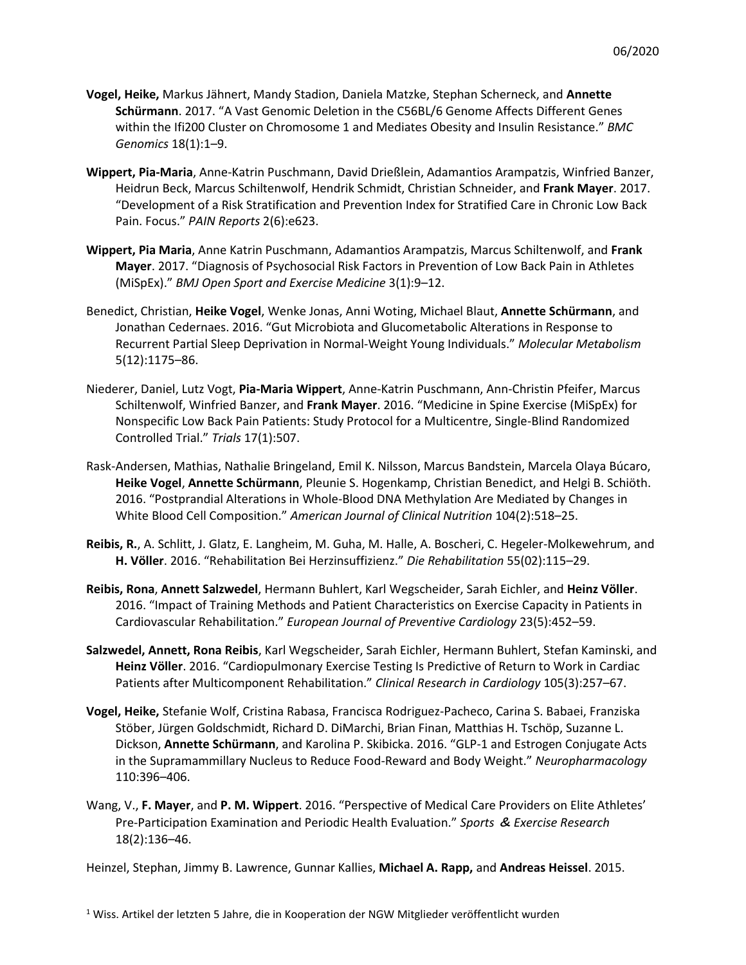- **Vogel, Heike,** Markus Jähnert, Mandy Stadion, Daniela Matzke, Stephan Scherneck, and **Annette Schürmann**. 2017. "A Vast Genomic Deletion in the C56BL/6 Genome Affects Different Genes within the Ifi200 Cluster on Chromosome 1 and Mediates Obesity and Insulin Resistance." *BMC Genomics* 18(1):1–9.
- **Wippert, Pia-Maria**, Anne-Katrin Puschmann, David Drießlein, Adamantios Arampatzis, Winfried Banzer, Heidrun Beck, Marcus Schiltenwolf, Hendrik Schmidt, Christian Schneider, and **Frank Mayer**. 2017. "Development of a Risk Stratification and Prevention Index for Stratified Care in Chronic Low Back Pain. Focus." *PAIN Reports* 2(6):e623.
- **Wippert, Pia Maria**, Anne Katrin Puschmann, Adamantios Arampatzis, Marcus Schiltenwolf, and **Frank Mayer**. 2017. "Diagnosis of Psychosocial Risk Factors in Prevention of Low Back Pain in Athletes (MiSpEx)." *BMJ Open Sport and Exercise Medicine* 3(1):9–12.
- Benedict, Christian, **Heike Vogel**, Wenke Jonas, Anni Woting, Michael Blaut, **Annette Schürmann**, and Jonathan Cedernaes. 2016. "Gut Microbiota and Glucometabolic Alterations in Response to Recurrent Partial Sleep Deprivation in Normal-Weight Young Individuals." *Molecular Metabolism* 5(12):1175–86.
- Niederer, Daniel, Lutz Vogt, **Pia-Maria Wippert**, Anne-Katrin Puschmann, Ann-Christin Pfeifer, Marcus Schiltenwolf, Winfried Banzer, and **Frank Mayer**. 2016. "Medicine in Spine Exercise (MiSpEx) for Nonspecific Low Back Pain Patients: Study Protocol for a Multicentre, Single-Blind Randomized Controlled Trial." *Trials* 17(1):507.
- Rask-Andersen, Mathias, Nathalie Bringeland, Emil K. Nilsson, Marcus Bandstein, Marcela Olaya Búcaro, **Heike Vogel**, **Annette Schürmann**, Pleunie S. Hogenkamp, Christian Benedict, and Helgi B. Schiöth. 2016. "Postprandial Alterations in Whole-Blood DNA Methylation Are Mediated by Changes in White Blood Cell Composition." *American Journal of Clinical Nutrition* 104(2):518–25.
- **Reibis, R.**, A. Schlitt, J. Glatz, E. Langheim, M. Guha, M. Halle, A. Boscheri, C. Hegeler-Molkewehrum, and **H. Völler**. 2016. "Rehabilitation Bei Herzinsuffizienz." *Die Rehabilitation* 55(02):115–29.
- **Reibis, Rona**, **Annett Salzwedel**, Hermann Buhlert, Karl Wegscheider, Sarah Eichler, and **Heinz Völler**. 2016. "Impact of Training Methods and Patient Characteristics on Exercise Capacity in Patients in Cardiovascular Rehabilitation." *European Journal of Preventive Cardiology* 23(5):452–59.
- **Salzwedel, Annett, Rona Reibis**, Karl Wegscheider, Sarah Eichler, Hermann Buhlert, Stefan Kaminski, and **Heinz Völler**. 2016. "Cardiopulmonary Exercise Testing Is Predictive of Return to Work in Cardiac Patients after Multicomponent Rehabilitation." *Clinical Research in Cardiology* 105(3):257–67.
- **Vogel, Heike,** Stefanie Wolf, Cristina Rabasa, Francisca Rodriguez-Pacheco, Carina S. Babaei, Franziska Stöber, Jürgen Goldschmidt, Richard D. DiMarchi, Brian Finan, Matthias H. Tschöp, Suzanne L. Dickson, **Annette Schürmann**, and Karolina P. Skibicka. 2016. "GLP-1 and Estrogen Conjugate Acts in the Supramammillary Nucleus to Reduce Food-Reward and Body Weight." *Neuropharmacology* 110:396–406.
- Wang, V., **F. Mayer**, and **P. M. Wippert**. 2016. "Perspective of Medical Care Providers on Elite Athletes' Pre-Participation Examination and Periodic Health Evaluation." *Sports* & *Exercise Research* 18(2):136–46.

Heinzel, Stephan, Jimmy B. Lawrence, Gunnar Kallies, **Michael A. Rapp,** and **Andreas Heissel**. 2015.